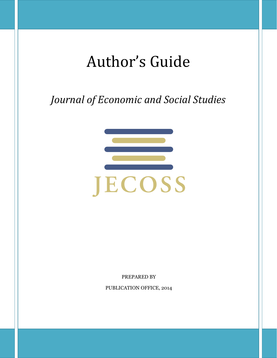# Author's Guide

*Journal of Economic and Social Studies*



PREPARED BY

PUBLICATION OFFICE, 2014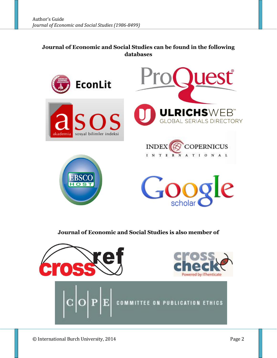# **Journal of Economic and Social Studies can be found in the following databases**



# **Journal of Economic and Social Studies is also member of**

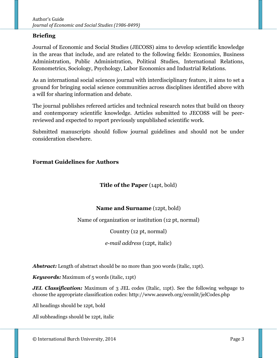## **Briefing**

Journal of Economic and Social Studies (JECOSS) aims to develop scientific knowledge in the areas that include, and are related to the following fields: Economics, Business Administration, Public Administration, Political Studies, International Relations, Econometrics, Sociology, Psychology, Labor Economics and Industrial Relations.

As an international social sciences journal with interdisciplinary feature, it aims to set a ground for bringing social science communities across disciplines identified above with a will for sharing information and debate.

The journal publishes refereed articles and technical research notes that build on theory and contemporary scientific knowledge. Articles submitted to JECOSS will be peerreviewed and expected to report previously unpublished scientific work.

Submitted manuscripts should follow journal guidelines and should not be under consideration elsewhere.

#### **Format Guidelines for Authors**

# **Title of the Paper** (14pt, bold)

#### **Name and Surname** (12pt, bold)

Name of organization or institution (12 pt, normal)

Country (12 pt, normal)

*e-mail address* (12pt, italic)

*Abstract:* Length of abstract should be no more than 300 words (italic, 11pt).

*Keywords:* Maximum of 5 words (italic, 11pt)

*JEL Classification:* Maximum of 3 JEL codes (Italic, 11pt). See the following webpage to choose the appropriate classification codes: http://www.aeaweb.org/econlit/jelCodes.php

All headings should be 12pt, bold

All subheadings should be 12pt, italic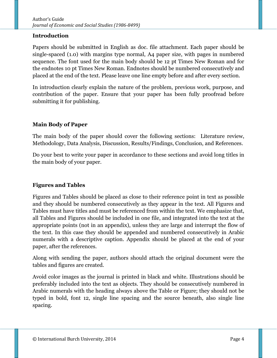#### **Introduction**

Papers should be submitted in English as doc. file attachment. Each paper should be single-spaced (1.0) with margins type normal, A4 paper size, with pages in numbered sequence. The font used for the main body should be 12 pt Times New Roman and for the endnotes 10 pt Times New Roman. Endnotes should be numbered consecutively and placed at the end of the text. Please leave one line empty before and after every section.

In introduction clearly explain the nature of the problem, previous work, purpose, and contribution of the paper. Ensure that your paper has been fully proofread before submitting it for publishing.

#### **Main Body of Paper**

The main body of the paper should cover the following sections: Literature review, Methodology, Data Analysis, Discussion, Results/Findings, Conclusion, and References.

Do your best to write your paper in accordance to these sections and avoid long titles in the main body of your paper.

#### **Figures and Tables**

Figures and Tables should be placed as close to their reference point in text as possible and they should be numbered consecutively as they appear in the text. All Figures and Tables must have titles and must be referenced from within the text. We emphasize that, all Tables and Figures should be included in one file, and integrated into the text at the appropriate points (not in an appendix), unless they are large and interrupt the flow of the text. In this case they should be appended and numbered consecutively in Arabic numerals with a descriptive caption. Appendix should be placed at the end of your paper, after the references.

Along with sending the paper, authors should attach the original document were the tables and figures are created.

Avoid color images as the journal is printed in black and white. Illustrations should be preferably included into the text as objects. They should be consecutively numbered in Arabic numerals with the heading always above the Table or Figure; they should not be typed in bold, font 12, single line spacing and the source beneath, also single line spacing.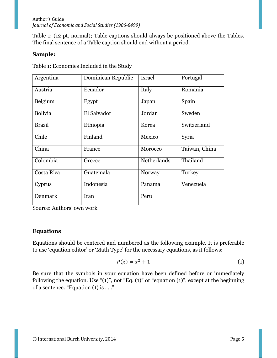Table 1: (12 pt, normal); Table captions should always be positioned above the Tables. The final sentence of a Table caption should end without a period.

#### **Sample:**

| Argentina      | Dominican Republic | Israel      | Portugal      |
|----------------|--------------------|-------------|---------------|
| Austria        | Ecuador            | Italy       | Romania       |
| Belgium        | Egypt              | Japan       | Spain         |
| <b>Bolivia</b> | El Salvador        | Jordan      | Sweden        |
| <b>Brazil</b>  | Ethiopia           | Korea       | Switzerland   |
| Chile          | Finland            | Mexico      | Syria         |
| China          | France             | Morocco     | Taiwan, China |
| Colombia       | Greece             | Netherlands | Thailand      |
| Costa Rica     | Guatemala          | Norway      | Turkey        |
| Cyprus         | Indonesia          | Panama      | Venezuela     |
| Denmark        | Iran               | Peru        |               |

Table 1: Economies Included in the Study

Source: Authors' own work

# **Equations**

Equations should be centered and numbered as the following example. It is preferable to use 'equation editor' or 'Math Type' for the necessary equations, as it follows:

$$
P(x) = x^2 + 1\tag{1}
$$

Be sure that the symbols in your equation have been defined before or immediately following the equation. Use " $(1)$ ", not "Eq.  $(1)$ " or "equation  $(1)$ ", except at the beginning of a sentence: "Equation (1) is . . ."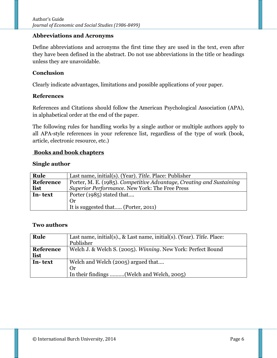#### **Abbreviations and Acronyms**

Define abbreviations and acronyms the first time they are used in the text, even after they have been defined in the abstract. Do not use abbreviations in the title or headings unless they are unavoidable.

#### **Conclusion**

Clearly indicate advantages, limitations and possible applications of your paper.

#### **References**

References and Citations should follow the American Psychological Association (APA), in alphabetical order at the end of the paper.

The following rules for handling works by a single author or multiple authors apply to all APA-style references in your reference list, regardless of the type of work (book, article, electronic resource, etc.)

#### **Books and book chapters**

#### **Single author**

| Rule      | Last name, initial(s). (Year). Title. Place: Publisher               |
|-----------|----------------------------------------------------------------------|
| Reference | Porter, M. E. (1985). Competitive Advantage, Creating and Sustaining |
| list      | Superior Performance. New York: The Free Press                       |
| In-text   | Porter (1985) stated that                                            |
|           | Or                                                                   |
|           | It is suggested that (Porter, 2011)                                  |

#### **Two authors**

| Rule      | Last name, initial(s)., & Last name, initial(s). (Year). Title. Place:<br>Publisher |
|-----------|-------------------------------------------------------------------------------------|
| Reference | Welch J. & Welch S. (2005). Winning. New York: Perfect Bound                        |
| list      |                                                                                     |
| In-text   | Welch and Welch (2005) argued that                                                  |
|           | Or.                                                                                 |
|           | In their findings (Welch and Welch, 2005)                                           |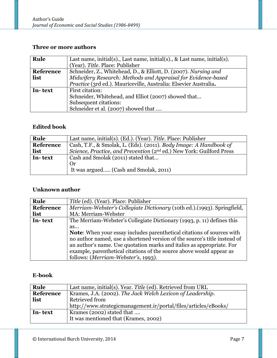#### **Three or more authors**

| Rule      | Last name, initial(s)., Last name, initial(s)., & Last name, initial(s). |
|-----------|--------------------------------------------------------------------------|
|           | (Year). Title. Place: Publisher                                          |
| Reference | Schneider, Z., Whitehead, D., & Elliott, D. (2007). Nursing and          |
| list      | Midwifery Research: Methods and Appraisal for Evidence-based             |
|           | Practice (3rd ed.). Mauriceville, Australia: Elsevier Australia.         |
| In-text   | First citation:                                                          |
|           | Schneider, Whitehead, and Elliot (2007) showed that                      |
|           | Subsequent citations:                                                    |
|           | Schneider et al. (2007) showed that                                      |

# **Edited book**

| Rule      | Last name, initial(s). (Ed.). (Year). Title. Place: Publisher                    |
|-----------|----------------------------------------------------------------------------------|
| Reference | Cash, T.F., & Smolak, L. (Eds). (2011). <i>Body Image: A Handbook of</i>         |
| list      | Science, Practice, and Prevention (2 <sup>nd</sup> ed.) New York: Guilford Press |
| In-text   | Cash and Smolak (2011) stated that                                               |
|           | Or                                                                               |
|           | It was argued (Cash and Smolak, 2011)                                            |

#### **Unknown author**

| Rule             | Title (ed). (Year). Place: Publisher                                                                                                                |
|------------------|-----------------------------------------------------------------------------------------------------------------------------------------------------|
| <b>Reference</b> | Merriam-Webster's Collegiate Dictionary (10th ed.). (1993). Springfield,                                                                            |
| list             | MA: Merriam-Webster                                                                                                                                 |
| In-text          | The Merriam-Webster's Collegiate Dictionary (1993, p. 11) defines this                                                                              |
|                  | as                                                                                                                                                  |
|                  | Note: When your essay includes parenthetical citations of sources with<br>no author named, use a shortened version of the source's title instead of |
|                  | an author's name. Use quotation marks and italics as appropriate. For                                                                               |
|                  | example, parenthetical citations of the source above would appear as                                                                                |
|                  | follows: (Merriam-Webster's, 1993).                                                                                                                 |

## **E-book**

| Rule      | Last name, initial(s). Year. Title (ed). Retrieved from URL     |
|-----------|-----------------------------------------------------------------|
| Reference | Krames, J.A. (2002). The Jack Welch Lexicon of Leadership.      |
| list      | Retrieved from                                                  |
|           | http://www.strategicmanagement.ir/portal/files/articles/eBooks/ |
| In-text   | Krames (2002) stated that                                       |
|           | It was mentioned that (Krames, 2002)                            |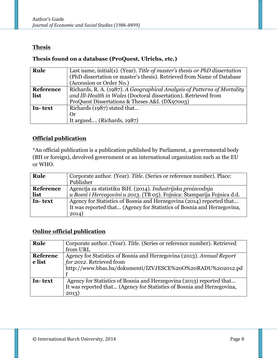#### **Thesis**

#### **Thesis found on a database (ProQuest, Ulrichs, etc.)**

| Rule      | Last name, initial(s). (Year). Title of master's thesis or PhD dissertation |
|-----------|-----------------------------------------------------------------------------|
|           | (PhD dissertation or master's thesis). Retrieved from Name of Database      |
|           | (Accession or Order No.)                                                    |
| Reference | Richards, R. A. (1987). A Geographical Analysis of Patterns of Mortality    |
| list      | and Ill-Health in Wales (Doctoral dissertation). Retrieved from             |
|           | ProQuest Dissertations & Theses A&I. (DX97003)                              |
| In-text   | Richards (1987) stated that                                                 |
|           | Or                                                                          |
|           | It argued (Richards, 1987)                                                  |

## **Official publication**

\*An official publication is a publication published by Parliament, a governmental body (BH or foreign), devolved government or an international organization such as the EU or WHO.

| Rule              | Corporate author. (Year). Title. (Series or reference number). Place:<br>Publisher                                                                      |
|-------------------|---------------------------------------------------------------------------------------------------------------------------------------------------------|
| Reference<br>list | Agencija za statistiku BiH. (2014). Industrijska proizvodnja<br>u Bosni i Hercegovini u 2013. (TB 05). Fojnica: Štamparija Fojnica d.d.                 |
| In-text           | Agency for Statistics of Bosnia and Herzegovina (2014) reported that<br>It was reported that (Agency for Statistics of Bosnia and Herzegovina,<br>2014) |

## **Online official publication**

| Rule               | Corporate author. (Year). Title. (Series or reference number). Retrieved<br>from URL                                                                            |
|--------------------|-----------------------------------------------------------------------------------------------------------------------------------------------------------------|
| Referenc<br>e list | Agency for Statistics of Bosnia and Herzegovina (2013). Annual Report<br>for 2012. Retrieved from<br>http://www.bhas.ba/dokumenti/IZVJESCE%20O%20RADU%202012.pd |
| In-text            | Agency for Statistics of Bosnia and Herzegovina (2013) reported that<br>It was reported that (Agency for Statistics of Bosnia and Herzegovina,<br>2013)         |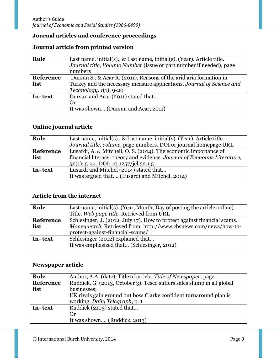# **Journal articles and conference proceedings**

#### **Journal article from printed version**

| Rule      | Last name, initial(s)., & Last name, initial(s). (Year). Article title. |
|-----------|-------------------------------------------------------------------------|
|           | Journal title, Volume Number (issue or part number if needed), page     |
|           | numbers                                                                 |
| Reference | Dursun S., & Acar R. (2011). Reasons of the arid aria formation in      |
| list      | Turkey and the necessary measure applications. Journal of Science and   |
|           | Technology, $1(1)$ , 9-20                                               |
| In-text   | Dursun and Acar (2011) stated that                                      |
|           | Or                                                                      |
|           | It was shown(Dursun and Acar, 2011)                                     |

## **Online journal article**

| Rule      | Last name, initial(s)., & Last name, initial(s). (Year). Article title.  |
|-----------|--------------------------------------------------------------------------|
|           | Journal title, volume, page numbers. DOI or journal homepage URL         |
| Reference | Lusardi, A. & Mitchell, O. S. (2014). The economic importance of         |
| list      | financial literacy: theory and evidence. Journal of Economic Literature, |
|           | 52(1): 5-44. DOI: 10.1257/jel.52.1.5                                     |
| In-text   | Lusardi and Mitchel (2014) stated that                                   |
|           | It was argued that (Lusardi and Mitchel, 2014)                           |

# **Article from the internet**

| Rule      | Last name, initial(s). (Year, Month, Day of posting the article online). |  |  |  |  |
|-----------|--------------------------------------------------------------------------|--|--|--|--|
|           | Title. Web page title. Retrieved from URL                                |  |  |  |  |
| Reference | Schlesinger, J. (2012, July 17). How to protect against financial scams. |  |  |  |  |
| list      | Moneywatch. Retrieved from: http://www.cbsnews.com/news/how-to-          |  |  |  |  |
|           | protect-against-financial-scams/                                         |  |  |  |  |
| In-text   | Schlesinger (2012) explained that                                        |  |  |  |  |
|           | It was emphasized that (Schlesinger, 2012)                               |  |  |  |  |

# **Newspaper article**

| Rule      | Author, A.A. (date). Title of article. Title of Newspaper, page.       |  |  |  |  |  |
|-----------|------------------------------------------------------------------------|--|--|--|--|--|
| Reference | Ruddick, G. (2013, October 3). Tesco suffers sales slump in all global |  |  |  |  |  |
| list      | businesses;                                                            |  |  |  |  |  |
|           | UK rivals gain ground but boss Clarke confident turnaround plan is     |  |  |  |  |  |
|           | working. Daily Telegraph, p. 1                                         |  |  |  |  |  |
| In-text   | Ruddick (2103) stated that                                             |  |  |  |  |  |
|           | Or                                                                     |  |  |  |  |  |
|           | It was shown (Ruddick, 2013)                                           |  |  |  |  |  |
|           |                                                                        |  |  |  |  |  |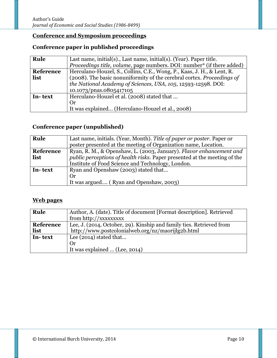# **Conference and Symposium proceedings**

## **Conference paper in published proceedings**

| Rule      | Last name, initial(s)., Last name, initial(s). (Year). Paper title.           |  |  |  |  |  |
|-----------|-------------------------------------------------------------------------------|--|--|--|--|--|
|           | <i>Proceedings title, volume, page numbers. DOI: number* (if there added)</i> |  |  |  |  |  |
| Reference | Herculano-Houzel, S., Collins, C.E., Wong, P., Kaas, J. H., & Lent, R.        |  |  |  |  |  |
| list      | (2008). The basic nonuniformity of the cerebral cortex. Proceedings of        |  |  |  |  |  |
|           | the National Academy of Sciences, USA, 105, 12593-12598. DOI:                 |  |  |  |  |  |
|           | 10.1073/pnas.0805417105                                                       |  |  |  |  |  |
| In-text   | Herculano-Houzel et al. (2008) stated that                                    |  |  |  |  |  |
|           | Or                                                                            |  |  |  |  |  |
|           | It was explained (Herculano-Houzel et al., 2008)                              |  |  |  |  |  |

## **Conference paper (unpublished)**

| Rule      | Last name, initials. (Year, Month). Title of paper or poster. Paper or    |  |  |  |  |
|-----------|---------------------------------------------------------------------------|--|--|--|--|
|           | poster presented at the meeting of Organization name, Location.           |  |  |  |  |
| Reference | Ryan, R. M., & Openshaw, L. (2003, January). Flavor enhancement and       |  |  |  |  |
| list      | public perceptions of health risks. Paper presented at the meeting of the |  |  |  |  |
|           | Institute of Food Science and Technology, London.                         |  |  |  |  |
| In-text   | Ryan and Openshaw (2003) stated that                                      |  |  |  |  |
|           | <b>Or</b>                                                                 |  |  |  |  |
|           | It was argued (Ryan and Openshaw, 2003)                                   |  |  |  |  |

# **Web pages**

| Rule      | Author, A. (date). Title of document [Format description]. Retrieved |  |  |  |  |
|-----------|----------------------------------------------------------------------|--|--|--|--|
|           | from http://xxxxxxxx                                                 |  |  |  |  |
| Reference | Lee, J. (2014, October, 29). Kinship and family ties. Retrieved from |  |  |  |  |
| list      | http://www.postcolonialweb.org/nz/maorijlg2b.html                    |  |  |  |  |
| In-text   | Lee $(2014)$ stated that                                             |  |  |  |  |
|           | Or                                                                   |  |  |  |  |
|           | It was explained  (Lee, 2014)                                        |  |  |  |  |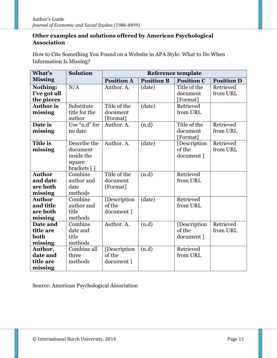# **Other examples and solutions offered by American Psychological Association**

How to Cite Something You Found on a Website in APA Style: What to Do When Information Is Missing?

| What's           | <b>Solution</b> | <b>Reference template</b> |                   |                   |                   |  |  |
|------------------|-----------------|---------------------------|-------------------|-------------------|-------------------|--|--|
| <b>Missing</b>   |                 | <b>Position A</b>         | <b>Position B</b> | <b>Position C</b> | <b>Position D</b> |  |  |
| Nothing:         | N/A             | Author. A.                | (date)            | Title of the      | Retrieved         |  |  |
| I've got all     |                 |                           |                   | document          | from URL          |  |  |
| the pieces       |                 |                           |                   | [Format]          |                   |  |  |
| <b>Author</b> is | Substitute      | Title of the              | (date)            | Retrieved         |                   |  |  |
| missing          | title for the   | document                  |                   | from URL          |                   |  |  |
|                  | author          | [Format]                  |                   |                   |                   |  |  |
| Date is          | Use "n.d" for   | Author. A.                | (n.d)             | Title of the      | Retrieved         |  |  |
| missing          | no date         |                           |                   | document          | from URL          |  |  |
|                  |                 |                           |                   | [Format]          |                   |  |  |
| <b>Title is</b>  | Describe the    | Author. A.                | (date)            | [Description      | Retrieved         |  |  |
| missing          | document        |                           |                   | of the            | from URL          |  |  |
|                  | inside the      |                           |                   | document ]        |                   |  |  |
|                  | square          |                           |                   |                   |                   |  |  |
|                  | brackets []     |                           |                   |                   |                   |  |  |
| <b>Author</b>    | Combine         | Title of the              | (n.d)             | Retrieved         |                   |  |  |
| and date         | author and      | document                  |                   | from URL          |                   |  |  |
| are both         | date            | [Format]                  |                   |                   |                   |  |  |
| missing          | methods         |                           |                   |                   |                   |  |  |
| Author           | Combine         | [Description              | (date)            | Retrieved         |                   |  |  |
| and title        | author and      | of the                    |                   | from URL          |                   |  |  |
| are both         | title           | document ]                |                   |                   |                   |  |  |
| missing          | methods         |                           |                   |                   |                   |  |  |
| Date and         | Combine         | Author. A.                | (n.d)             | [Description      | Retrieved         |  |  |
| title are        | date and        |                           |                   | of the            | from URL          |  |  |
| both             | title           |                           |                   | document ]        |                   |  |  |
| missing          | methods         |                           |                   |                   |                   |  |  |
| Author,          | Combine all     | [Description              | (n.d)             | Retrieved         |                   |  |  |
| date and         | three           | of the                    |                   | from URL          |                   |  |  |
| title are        | methods         | document ]                |                   |                   |                   |  |  |
| missing          |                 |                           |                   |                   |                   |  |  |

Source: American Psychological Association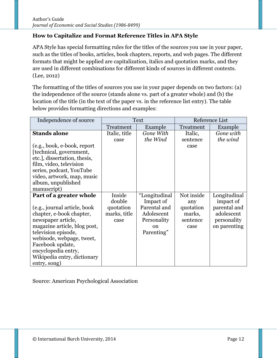# **How to Capitalize and Format Reference Titles in APA Style**

APA Style has special formatting rules for the titles of the sources you use in your paper, such as the titles of books, articles, book chapters, reports, and web pages. The different formats that might be applied are capitalization, italics and quotation marks, and they are used in different combinations for different kinds of sources in different contexts. (Lee, 2012)

The formatting of the titles of sources you use in your paper depends on two factors: (a) the independence of the source (stands alone vs. part of a greater whole) and (b) the location of the title (in the text of the paper vs. in the reference list entry). The table below provides formatting directions and examples:

| Independence of source       | <b>Text</b>   |               | Reference List |              |
|------------------------------|---------------|---------------|----------------|--------------|
|                              | Treatment     | Example       | Treatment      | Example      |
| <b>Stands alone</b>          | Italic, title | Gone With     | Italic,        | Gone with    |
|                              | case          | the Wind      | sentence       | the wind     |
| (e.g., book, e-book, report  |               |               | case           |              |
| [technical, government,      |               |               |                |              |
| etc.], dissertation, thesis, |               |               |                |              |
| film, video, television      |               |               |                |              |
| series, podcast, YouTube     |               |               |                |              |
| video, artwork, map, music   |               |               |                |              |
| album, unpublished           |               |               |                |              |
| manuscript)                  |               |               |                |              |
| Part of a greater whole      | Inside        | "Longitudinal | Not inside     | Longitudinal |
|                              | double        | Impact of     | any            | impact of    |
| (e.g., journal article, book | quotation     | Parental and  | quotation      | parental and |
| chapter, e-book chapter,     | marks, title  | Adolescent    | marks,         | adolescent   |
| newspaper article,           | case          | Personality   | sentence       | personality  |
| magazine article, blog post, |               | $^{0n}$       | case           | on parenting |
| television episode,          |               | Parenting"    |                |              |
| webisode, webpage, tweet,    |               |               |                |              |
| Facebook update,             |               |               |                |              |
| encyclopedia entry,          |               |               |                |              |
| Wikipedia entry, dictionary  |               |               |                |              |
| entry, song)                 |               |               |                |              |

Source: American Psychological Association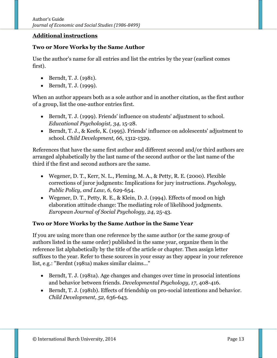# **Additional instructions**

### **Two or More Works by the Same Author**

Use the author's name for all entries and list the entries by the year (earliest comes first).

- Berndt, T. J. (1981).
- $\bullet$  Berndt, T. J. (1999).

When an author appears both as a sole author and in another citation, as the first author of a group, list the one-author entries first.

- Berndt, T. J. (1999). Friends' influence on students' adjustment to school. *Educational Psychologist, 34*, 15-28.
- Berndt, T. J., & Keefe, K. (1995). Friends' influence on adolescents' adjustment to school. *Child Development, 66,* 1312-1329.

References that have the same first author and different second and/or third authors are arranged alphabetically by the last name of the second author or the last name of the third if the first and second authors are the same.

- Wegener, D. T., Kerr, N. L., Fleming, M. A., & Petty, R. E. (2000). Flexible corrections of juror judgments: Implications for jury instructions. *Psychology, Public Policy, and Law, 6,* 629-654.
- Wegener, D. T., Petty, R. E., & Klein, D. J. (1994). Effects of mood on high elaboration attitude change: The mediating role of likelihood judgments. *European Journal of Social Psychology, 24*, 25-43.

# **Two or More Works by the Same Author in the Same Year**

If you are using more than one reference by the same author (or the same group of authors listed in the same order) published in the same year, organize them in the reference list alphabetically by the title of the article or chapter. Then assign letter suffixes to the year. Refer to these sources in your essay as they appear in your reference list, e.g.: "Berdnt (1981a) makes similar claims..."

- Berndt, T. J. (1981a). Age changes and changes over time in prosocial intentions and behavior between friends. *Developmental Psychology, 17*, 408-416.
- Berndt, T. J. (1981b). Effects of friendship on pro-social intentions and behavior. *Child Development, 52,* 636-643.